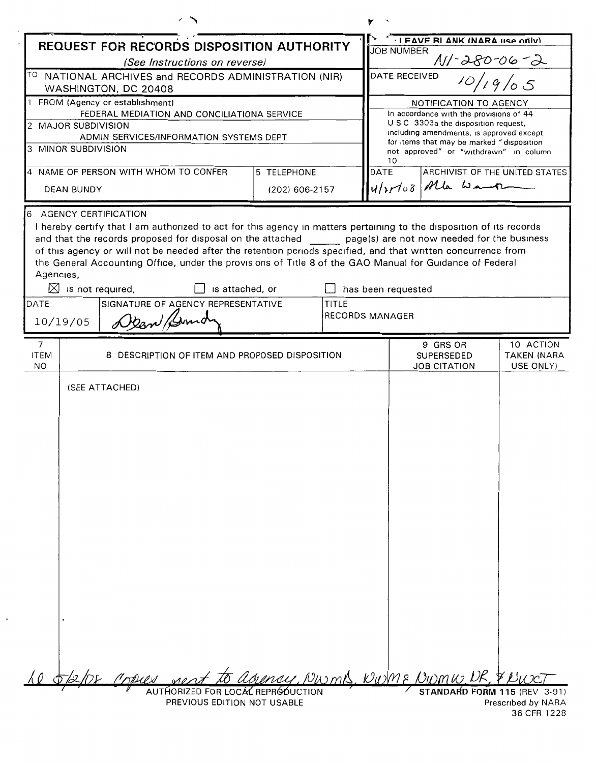|                                                     |                     |                                                                                                                                                                                                                                                                                                                                                                                                                                                                                                                                                                                                  |             | ٧                                                            |                                             |                                                                                     |                    |
|-----------------------------------------------------|---------------------|--------------------------------------------------------------------------------------------------------------------------------------------------------------------------------------------------------------------------------------------------------------------------------------------------------------------------------------------------------------------------------------------------------------------------------------------------------------------------------------------------------------------------------------------------------------------------------------------------|-------------|--------------------------------------------------------------|---------------------------------------------|-------------------------------------------------------------------------------------|--------------------|
| REQUEST FOR RECORDS DISPOSITION AUTHORITY           |                     |                                                                                                                                                                                                                                                                                                                                                                                                                                                                                                                                                                                                  |             |                                                              | I FAVE RI ANK (NARA IISA OFIV)              |                                                                                     |                    |
| (See Instructions on reverse)                       |                     |                                                                                                                                                                                                                                                                                                                                                                                                                                                                                                                                                                                                  |             |                                                              | <b>JOB NUMBER</b><br>$\frac{N}{D}$ 10/19/05 |                                                                                     |                    |
|                                                     |                     | TO NATIONAL ARCHIVES and RECORDS ADMINISTRATION (NIR)<br>WASHINGTON, DC 20408                                                                                                                                                                                                                                                                                                                                                                                                                                                                                                                    |             |                                                              | DATE RECEIVED                               |                                                                                     |                    |
|                                                     |                     | 1 FROM (Agency or establishment)                                                                                                                                                                                                                                                                                                                                                                                                                                                                                                                                                                 |             |                                                              |                                             | NOTIFICATION TO AGENCY                                                              |                    |
|                                                     |                     | FEDERAL MEDIATION AND CONCILIATIONA SERVICE                                                                                                                                                                                                                                                                                                                                                                                                                                                                                                                                                      |             |                                                              |                                             | In accordance with the provisions of 44<br>U S C 3303a the disposition request,     |                    |
|                                                     | 2 MAJOR SUBDIVISION | ADMIN SERVICES/INFORMATION SYSTEMS DEPT                                                                                                                                                                                                                                                                                                                                                                                                                                                                                                                                                          |             |                                                              |                                             | including amendments, is approved except                                            |                    |
|                                                     | 3 MINOR SUBDIVISION |                                                                                                                                                                                                                                                                                                                                                                                                                                                                                                                                                                                                  |             |                                                              | 10                                          | for items that may be marked "disposition<br>not approved" or "withdrawn" in column |                    |
| 5 TELEPHONE<br>4 NAME OF PERSON WITH WHOM TO CONFER |                     |                                                                                                                                                                                                                                                                                                                                                                                                                                                                                                                                                                                                  | <b>DATE</b> |                                                              | ARCHIVIST OF THE UNITED STATES              |                                                                                     |                    |
| <b>DEAN BUNDY</b>                                   |                     | (202) 606-2157                                                                                                                                                                                                                                                                                                                                                                                                                                                                                                                                                                                   |             |                                                              | 4/20103 Mla Wamp                            |                                                                                     |                    |
| 6<br>Agencies,<br>DATE                              | 10/19/05            | <b>AGENCY CERTIFICATION</b><br>I hereby certify that I am authorized to act for this agency in matters pertaining to the disposition of its records<br>and that the records proposed for disposal on the attached page(s) are not now needed for the business<br>of this agency or will not be needed after the retention periods specified, and that written concurrence from<br>the General Accounting Office, under the provisions of Title 8 of the GAO Manual for Guidance of Federal<br>$\boxtimes$ is not required,<br>is attached, or<br>SIGNATURE OF AGENCY REPRESENTATIVE<br>Dean Bond |             | has been requested<br><b>TITLE</b><br><b>RECORDS MANAGER</b> |                                             |                                                                                     |                    |
| $\overline{7}$                                      |                     |                                                                                                                                                                                                                                                                                                                                                                                                                                                                                                                                                                                                  |             |                                                              |                                             | 9 GRS OR                                                                            | 10 ACTION          |
| <b>ITEM</b>                                         |                     | 8 DESCRIPTION OF ITEM AND PROPOSED DISPOSITION                                                                                                                                                                                                                                                                                                                                                                                                                                                                                                                                                   |             |                                                              |                                             | <b>SUPERSEDED</b>                                                                   | <b>TAKEN (NARA</b> |
| NO.                                                 |                     |                                                                                                                                                                                                                                                                                                                                                                                                                                                                                                                                                                                                  |             |                                                              |                                             | <b>JOB CITATION</b>                                                                 | USE ONLY)          |
|                                                     |                     | (SEE ATTACHED)                                                                                                                                                                                                                                                                                                                                                                                                                                                                                                                                                                                   |             |                                                              |                                             |                                                                                     |                    |
|                                                     |                     | 28 Copies                                                                                                                                                                                                                                                                                                                                                                                                                                                                                                                                                                                        |             |                                                              |                                             | to agency, NwmB, NWME NWMW, DR, & NWC                                               |                    |

36 CFR 1228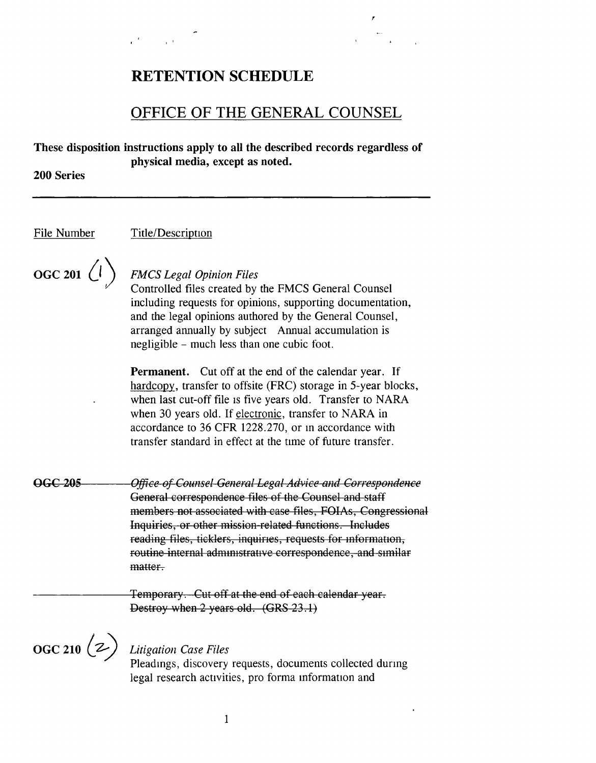# RETENTION SCHEDULE

# OFFICE OF THE GENERAL COUNSEL

*r* 

**These disposition instructions apply to all the described records regardless of physical media, except as noted.** 

**200 Series** 

File Number Title/Description

 $\overline{OGC 201}$   $\left(\overline{l}\right)$ 

# *FMCS Legal Opinion Files*

Controlled files created by the FMCS General Counsel including requests for opinions, supporting documentation, and the legal opinions authored by the General Counsel, arranged annually by subject Annual accumulation is negligible - much less than one cubic foot.

**Permanent.** Cut off at the end of the calendar year. If hardcopy, transfer to offsite (FRC) storage in 5-year blocks, when last cut-off file 1s five years old. Transfer to NARA when 30 years old. If electronic, transfer to NARA in accordance to 36 CFR 1228.270, or m accordance with transfer standard in effect at the time of future transfer.

**OGC 205**  *Office of Counsel General Legal Advice and Correspondence*  General correspondence files of the Counsel and staff members not associated with case files, FOIAs, Congressional Inquiries, or other mission related functions. Includes reading files, ticklers, inquiries, requests for information, routine internal administrative correspondence, and similar matter.

> Temporary. Cut off at the end of each calendar year. Destroy when 2 years old. (GRS 23.1)

 $\overline{OGC\ 210}\ (z)$ 

# *Litigation Case Files*

Pleadmgs, discovery requests, documents collected durmg legal research activities, pro forma information and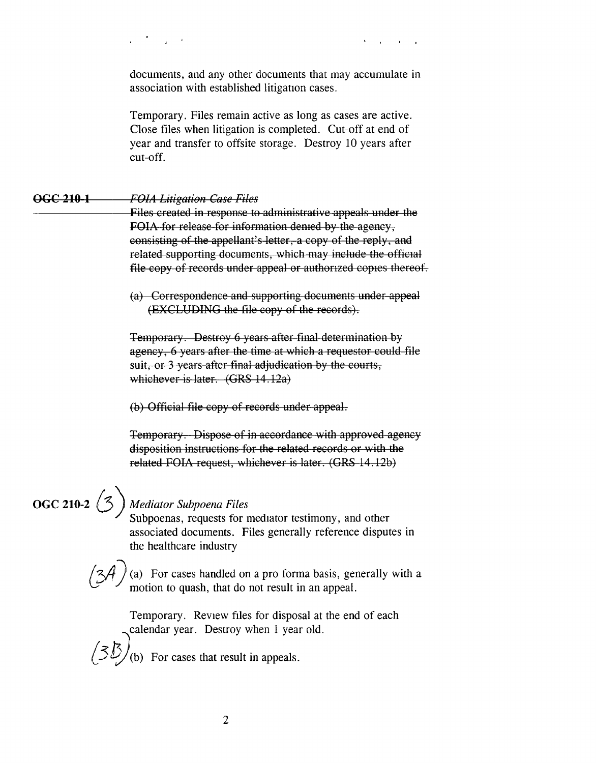documents, and any other documents that may accumulate in association with established litigation cases.

Temporary. Files remain active as long as cases are active. Close files when litigation is completed. Cut-off at end of year and transfer to offsite storage. Destroy 10 years after cut-off.

## **occ 210 1** *FO!A Litigation Case Files*

Files created in response to administrative appeals under the **FOIA** for release for information demed by the agency, consisting of the appellant's letter, a copy of the reply, and related supporting documents, which may include the official file copy of records under appeal or authorized copies thereof.

(a) Correspondence and supporting documents under appeal (EXCLUDING the file copy of the records).

Temporary. Destroy 6 years after final determination by agency, 6 years after the time at which a requestor could file suit, or 3 years after final adjudication by the courts, \Vhichever is later. **(GRS** 14 . 12a)

(b) Official file copy of records under appeal.

Temporary. Dispose of in accordance with approved agency disposition instructions for the related records or with the related FOIA request, whichever is later. (GRS 14.12b)

# **OGC 210-2** {5) *Mediator Subpoena Files*

 $/3<sub>2</sub>$ 

Subpoenas, requests for mediator testimony, and other associated documents. Files generally reference disputes in the healthcare industry

(a) For cases handled on a pro forma basis, generally with a motion to quash, that do not result in an appeal.

Temporary. Review files for disposal at the end of each calendar year. Destroy when 1 year old.

(b) For cases that result in appeals.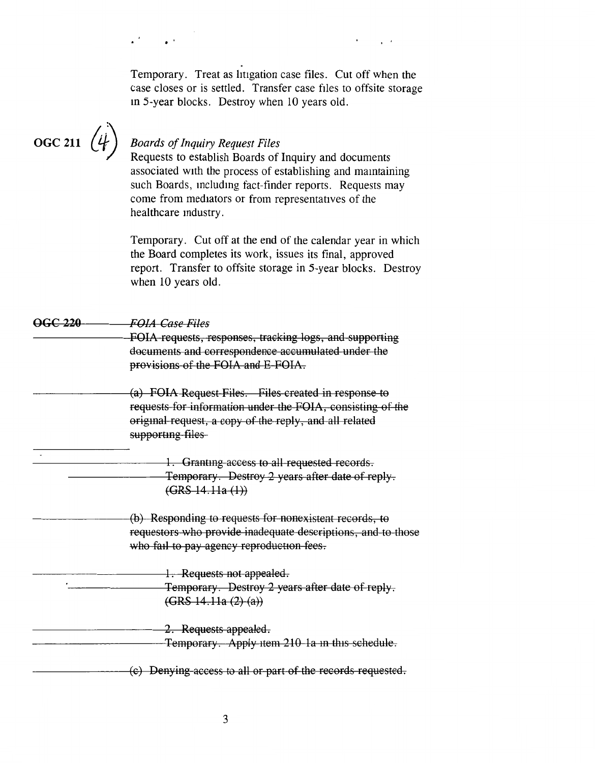|                    | Temporary. Treat as litigation case files. Cut off when the<br>case closes or is settled. Transfer case files to offsite storage<br>in 5-year blocks. Destroy when 10 years old.                                                                                                                         |
|--------------------|----------------------------------------------------------------------------------------------------------------------------------------------------------------------------------------------------------------------------------------------------------------------------------------------------------|
| <b>OGC 211</b>     | <b>Boards of Inquiry Request Files</b><br>Requests to establish Boards of Inquiry and documents<br>associated with the process of establishing and maintaining<br>such Boards, including fact-finder reports. Requests may<br>come from mediators or from representatives of the<br>healthcare industry. |
|                    | Temporary. Cut off at the end of the calendar year in which<br>the Board completes its work, issues its final, approved<br>report. Transfer to offsite storage in 5-year blocks. Destroy<br>when 10 years old.                                                                                           |
| <del>OGC 220</del> | <b>FOIA Case Files</b>                                                                                                                                                                                                                                                                                   |
|                    | FOIA requests, responses, tracking logs, and supporting<br>documents and correspondence accumulated under the<br>provisions of the FOIA and E-FOIA.                                                                                                                                                      |
|                    | (a) FOIA Request Files. Files created in response to<br>requests for information under the FOIA, consisting of the<br>original request, a copy of the reply, and all related<br>supporting files                                                                                                         |
|                    | 1. Granting access to all requested records.<br>Temporary. Destroy 2 years after date of reply.<br>$(GRS-14.11a(1))$                                                                                                                                                                                     |
|                    | (b) Responding to requests for nonexistent records, to<br>requestors who provide inadequate descriptions, and to those<br>who fail to pay agency reproduction fees.                                                                                                                                      |
|                    | 1. Requests not appealed.<br>Temporary. Destroy 2 years after date of reply.<br>(GRS 14.11a (2) (a))                                                                                                                                                                                                     |
|                    | 2. Requests appealed.<br>Temporary. Apply item 210 1a in this schedule.                                                                                                                                                                                                                                  |
|                    | (c) Denying access to all or part of the records requested.                                                                                                                                                                                                                                              |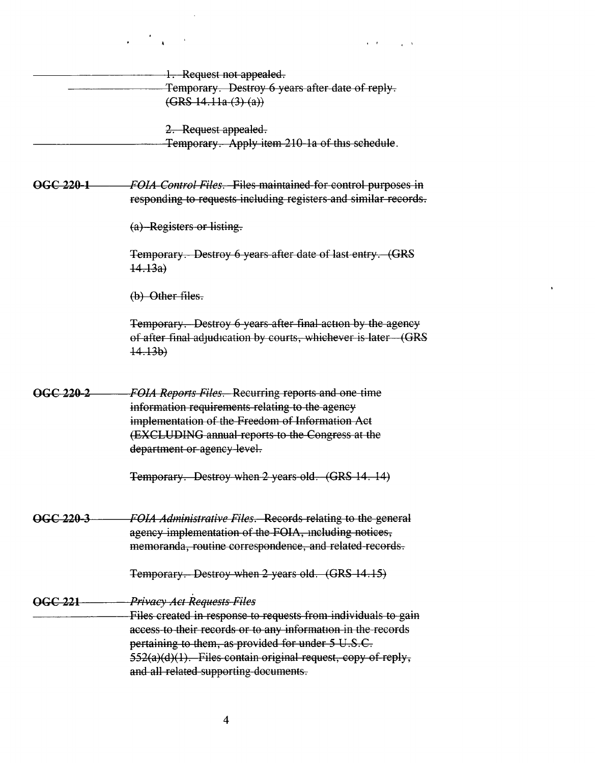|                | $\mathcal{L} = \frac{1}{2} \sum_{i=1}^{n} \frac{1}{i} \sum_{j=1}^{n} \frac{1}{j} \sum_{j=1}^{n} \frac{1}{j} \sum_{j=1}^{n} \frac{1}{j} \sum_{j=1}^{n} \frac{1}{j} \sum_{j=1}^{n} \frac{1}{j} \sum_{j=1}^{n} \frac{1}{j} \sum_{j=1}^{n} \frac{1}{j} \sum_{j=1}^{n} \frac{1}{j} \sum_{j=1}^{n} \frac{1}{j} \sum_{j=1}^{n} \frac{1}{j} \sum_{j=1}^{n} \frac{1}{j} \sum$<br>$\mathbf{r} = \mathbf{r}$ , where $\mathbf{r} = \mathbf{r}$ , $\mathbf{r} = \mathbf{r}$ |
|----------------|-----------------------------------------------------------------------------------------------------------------------------------------------------------------------------------------------------------------------------------------------------------------------------------------------------------------------------------------------------------------------------------------------------------------------------------------------------------------|
|                | 1. Request not appealed.                                                                                                                                                                                                                                                                                                                                                                                                                                        |
|                | Temporary. Destroy 6 years after date of reply.                                                                                                                                                                                                                                                                                                                                                                                                                 |
|                | (GRS 14.11a (3) (a))                                                                                                                                                                                                                                                                                                                                                                                                                                            |
|                | 2. Request appealed.                                                                                                                                                                                                                                                                                                                                                                                                                                            |
|                | Temporary. Apply item 210-1a of this schedule.                                                                                                                                                                                                                                                                                                                                                                                                                  |
| OGC 220-1      | FOIA Control Files. Files maintained for control purposes in<br>responding to requests including registers and similar records.                                                                                                                                                                                                                                                                                                                                 |
|                | (a) Registers or listing.                                                                                                                                                                                                                                                                                                                                                                                                                                       |
|                | Temporary. Destroy 6 years after date of last entry. (GRS<br>14.13a)                                                                                                                                                                                                                                                                                                                                                                                            |
|                | $(b)$ Other files.                                                                                                                                                                                                                                                                                                                                                                                                                                              |
|                | Temporary. Destroy 6 years after final action by the agency<br>of after final adjudication by courts, whichever is later (GRS<br>14.13b)                                                                                                                                                                                                                                                                                                                        |
| OGC 220-2      | FOIA Reports Files. Recurring reports and one-time                                                                                                                                                                                                                                                                                                                                                                                                              |
|                | information requirements relating to the agency                                                                                                                                                                                                                                                                                                                                                                                                                 |
|                | implementation of the Freedom of Information Act                                                                                                                                                                                                                                                                                                                                                                                                                |
|                | (EXCLUDING annual reports to the Congress at the                                                                                                                                                                                                                                                                                                                                                                                                                |
|                | department or agency level.                                                                                                                                                                                                                                                                                                                                                                                                                                     |
|                | Temporary. Destroy when 2 years old. (GRS 14. 14)                                                                                                                                                                                                                                                                                                                                                                                                               |
| OGC 220-3      | FOIA Administrative Files. Records relating to the general                                                                                                                                                                                                                                                                                                                                                                                                      |
|                | agency implementation of the FOIA, including notices,                                                                                                                                                                                                                                                                                                                                                                                                           |
|                | memoranda, routine correspondence, and related records.                                                                                                                                                                                                                                                                                                                                                                                                         |
|                | Temporary. Destroy when 2 years old. (GRS 14.15)                                                                                                                                                                                                                                                                                                                                                                                                                |
| <b>OGC 221</b> | <b>Privacy Act Requests Files</b>                                                                                                                                                                                                                                                                                                                                                                                                                               |
|                | Files created in response to requests from individuals to gain                                                                                                                                                                                                                                                                                                                                                                                                  |
|                | access to their records or to any information in the records                                                                                                                                                                                                                                                                                                                                                                                                    |
|                | pertaining to them, as provided for under 5 U.S.C.                                                                                                                                                                                                                                                                                                                                                                                                              |
|                | 552(a)(d)(1). Files contain original request, copy of reply,                                                                                                                                                                                                                                                                                                                                                                                                    |
|                | and all related supporting documents.                                                                                                                                                                                                                                                                                                                                                                                                                           |

 $\label{eq:2.1} \frac{1}{2} \int_{\mathbb{R}^3} \frac{1}{\sqrt{2}} \, \frac{1}{\sqrt{2}} \, \frac{1}{\sqrt{2}} \, \frac{1}{\sqrt{2}} \, \frac{1}{\sqrt{2}} \, \frac{1}{\sqrt{2}} \, \frac{1}{\sqrt{2}} \, \frac{1}{\sqrt{2}} \, \frac{1}{\sqrt{2}} \, \frac{1}{\sqrt{2}} \, \frac{1}{\sqrt{2}} \, \frac{1}{\sqrt{2}} \, \frac{1}{\sqrt{2}} \, \frac{1}{\sqrt{2}} \, \frac{1}{\sqrt{2}} \, \frac{1}{\sqrt{2}} \,$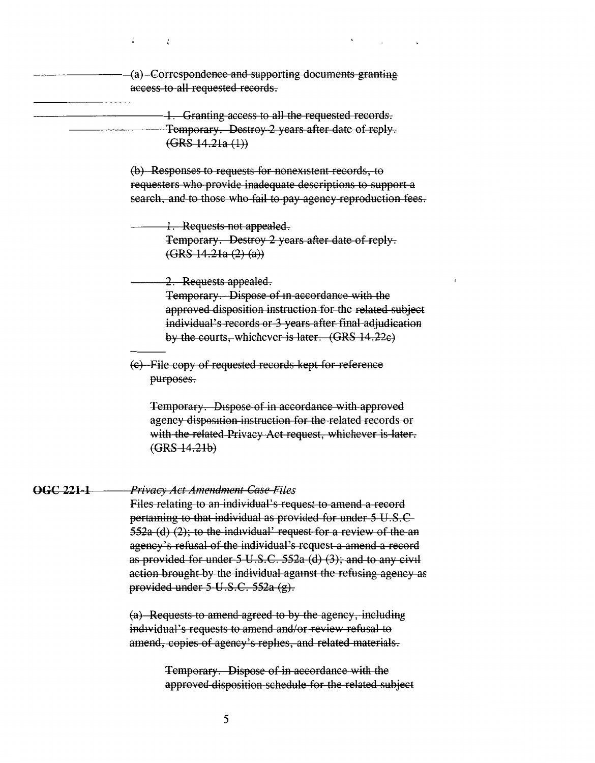(a) Correspondence and supporting documents granting access to all requested records.

1. Granting access to all the requested records. Temporary. Destroy 2 years after date of reply.  $(GRS 14.21a (1))$ 

> (b) Responses to requests for nonexistent records, to requesters who provide inadequate descriptions to support a search, and to those who fail to pay agency reproduction fees.

1. Requests not appealed. Temporary. Destroy 2 years after date of reply.  $(GRS 14.21a (2) (a))$ 

## 2. Requests appealed.

Temporary. Dispose of in accordance with the approved disposition instruction for the related subject individual's records or 3 years after final adjudication by the courts, whichever is later. (GRS 14.22e)

(e) File copy of requested records kept for reference purposes.

Temporary. Dispose of in accordance with approved agency disposition instruction for the related records or with the related Privacy Act request, whichever is later.  $(GRS-14.21b)$ 

### **OGC 221-1** Privacy Act Amendment Case Files

Files relating to an individual's request to amend a record pertaining to that individual as provided for under 5 U.S.C 552a (d) (2); to the individual' request for a review of the an agency's refusal of the individual's request a amend a record as provided for under  $5 \text{ U.S.C. } 552a$  (d) (3); and to any civil action brought by the individual against the refusing agency as provided under  $5 \text{ U.S.C. } 552a \text{ (g)}$ .

(a) Requests to amend agreed to by the agency, including individual's requests to amend and/or review-refusal to amend, copies of agency's replies, and related materials.

> Temporary. Dispose of in accordance with the approved disposition schedule for the related subject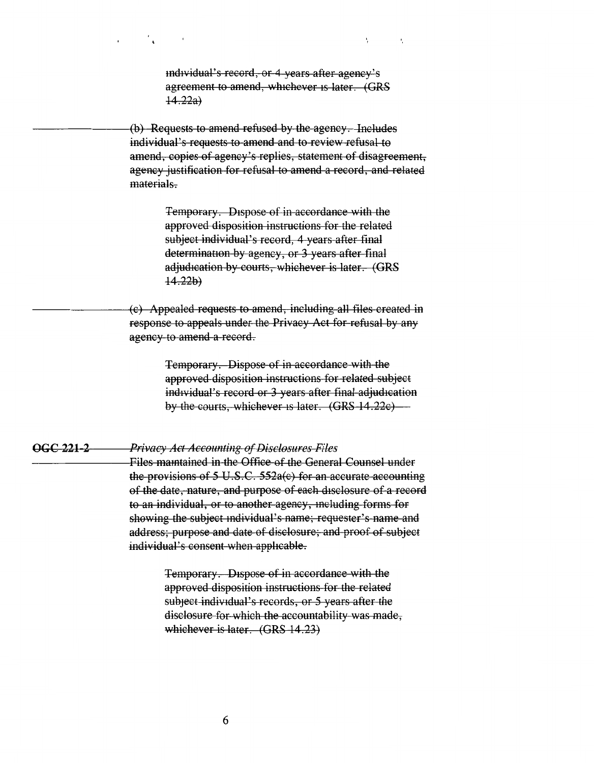md1vidual's record, or 4 years after agency's agreement to amend, whichever 1s later. (GRS  $(14.22a)$ 

 $\ddot{\phantom{a}}$ 

 $\epsilon_i$ 

(b) Requests to amend refused by the agency. Includes individual's requests to amend and to review refusal to amend, copies of agency's replies, statement of disagreement, agency justification for refusal to amend a record, and related materials.

> Temporary. Dispose of in accordance with the approved disposition instructions for the related subject individual's record, 4 years after final determination by agency, or 3 years after final adjudication by courts, whichever is later. **(GRS**  $14.22b)$

(c) Appealed requests to amend, including all files created in response to appeals under the Privacy Act for refusal by any agency to amend a record.

> Temporary. Dispose of in accordance with the approved disposition instructions for related subject individual's record or 3 years after final adjudication by the courts, whichever 1s later. (GRS 14 .22c)

#### **occ 221 2 Privacy Act Accounting of Disclosures Files**

Files mamtained in the Office of the General Counsel under the provisions of 5 U.S.C. 552a(c) for an accurate accounting of the date, nature, and purpose of each disclosure of a record to an individual, or to another agency, mcluding forms for showing the subject mdividual's name; requester's name and address; purpose and date of disclosure; and proof of subject individual's consent when apphcable.

> Temporary. Dispose of in accordance with the approved disposition instructions for the related subject individual's records, or 5 years after the disclosure for which the accountability was made, whichever is later. **(GRS** 14 .23)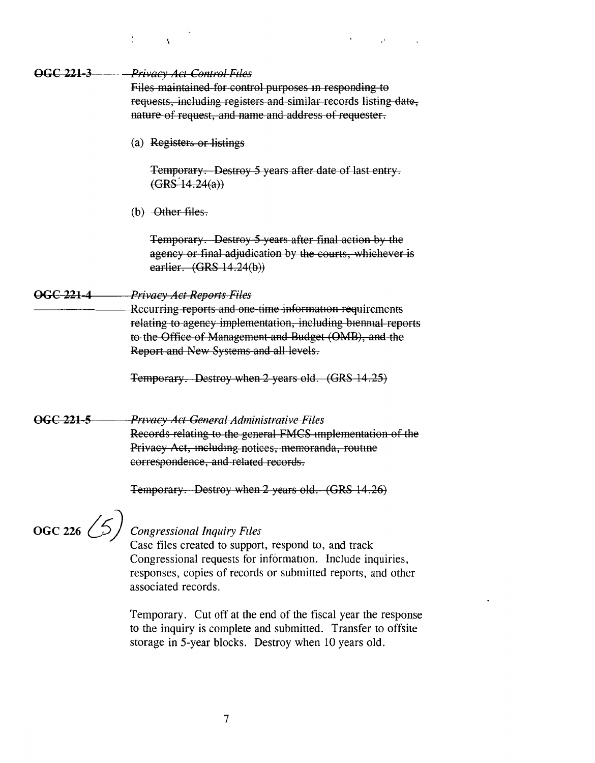| OGC 221-3            | Privacy Act-Control Files                                                                                                                                                                                                   |
|----------------------|-----------------------------------------------------------------------------------------------------------------------------------------------------------------------------------------------------------------------------|
|                      | Files maintained for control purposes in responding to<br>requests, including registers and similar records listing date,<br>nature of request, and name and address of requester.                                          |
|                      | (a) Registers or listings                                                                                                                                                                                                   |
|                      | Temporary. Destroy 5 years after date of last entry.<br>(GRS 14.24(a))                                                                                                                                                      |
|                      | (b) $-\theta$ ther files.                                                                                                                                                                                                   |
|                      | Temporary. Destroy 5 years after final action by the<br>agency or final adjudication by the courts, whichever is<br>earlier. (GRS 14.24(b))                                                                                 |
| OGC 221-4            | Privacy Act Reports Files                                                                                                                                                                                                   |
|                      | Recurring reports and one-time information-requirements<br>relating to agency implementation, including biennial reports<br>to the Office of Management and Budget (OMB), and the<br>Report and New Systems and all levels. |
|                      | Temporary. Destroy when 2 years old. (GRS 14.25)                                                                                                                                                                            |
| OGC 221-5            | Privacy Act General Administrative Files<br>Records relating to the general FMCS implementation of the<br>Privacy Act, including notices, memoranda, routine<br>correspondence, and related records.                        |
|                      | Temporary. Destroy when 2 years old. (GRS 14.26)                                                                                                                                                                            |
| $\int 66C$ 226 $(5)$ | <b>Congressional Inquiry Files</b><br>Case files created to support, respond to, and track<br>Congressional requests for information. Include inquiries,<br>responses, copies of records or submitted reports, and other    |

associated records.

 $\mathbf{r}$ 

 $\overline{\mathbf{A}}$ 

Temporary. Cut off at the end of the fiscal year the response to the inquiry is complete and submitted. Transfer to offsite storage in 5-year blocks. Destroy when 10 years old.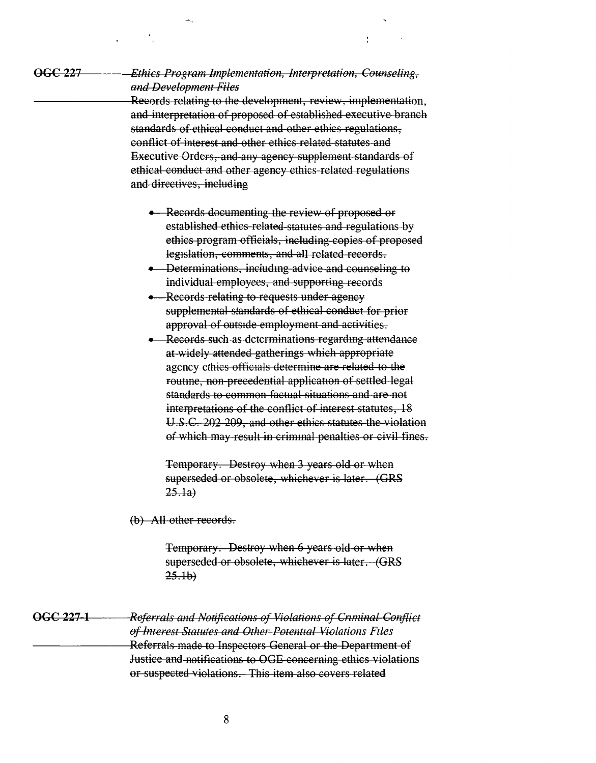**occ <sup>227</sup>**

## *Ethics Program Implementation, Interpretation, Counseling, and Dewlopment Files*

Records relating to the development, review, implementation, and interpretation of proposed of established executive branch standards of ethical conduct and other ethics regulations, conflict of interest and other ethics related statutes and Executive Orders, and any agency supplement standards of ethical conduct and other agency ethics related regulations and directives, including

- Records documenting the review of proposed or established ethics related statutes and regulations by ethics program officials, including copies of proposed legislation, comments, and all related records.
- Determinations, including advice and counseling to individual employees, and supporting records
- Records relating to requests under agency supplemental standards of ethical conduct for prior approval of outside employment and activities.
- Records such as determinations regardmg attendance at widely attended gatherings which appropriate agency ethics officials determine are related to the routme, non precedential application of settled legal standards to common factual situations and are not interpretations of the conflict of interest statutes, 18 U.S.C. 202 209, and other ethics statutes the violation of which may result in criminal penalties or civil fines.

Temporary. Destroy when 3 years old or when superseded or obsolete, whichever is later. (GRS  $25.1a)$ 

(b) All other records.

Temporary. Destroy when 6 years old or when superseded or obsolete, whichever is later. (GRS  $25.1<sub>b</sub>$ 

**OGC 227 1**  *Referrals and Notifications of Violations of Cnminal Conflict of Interest Statutes and Other Potentu1l Violations F1les*  Referrals made to Inspectors General or the Department of Justice and notifications to OGE concerning ethics violations or suspected violations. This item also covers related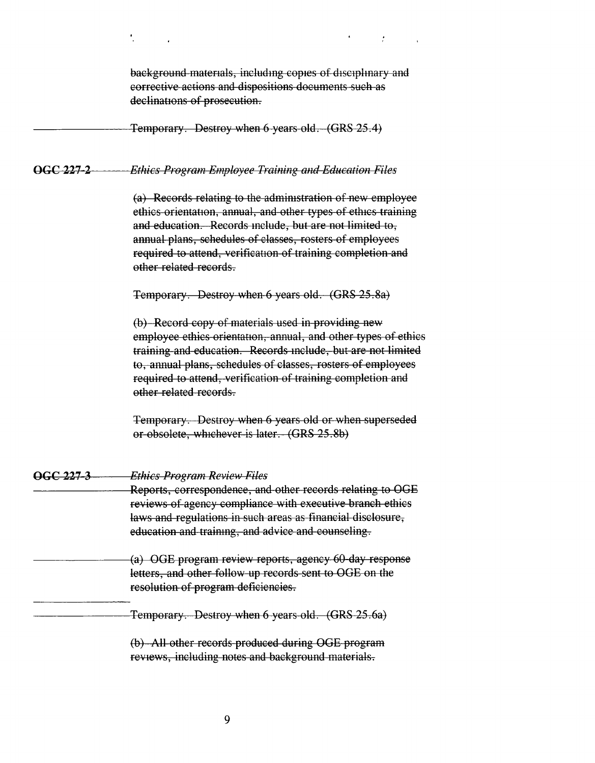|                      | background materials, including copies of disciplinary and<br>corrective actions and dispositions documents such as<br>declinations of prosecution.                                                                                                                                                                                           |
|----------------------|-----------------------------------------------------------------------------------------------------------------------------------------------------------------------------------------------------------------------------------------------------------------------------------------------------------------------------------------------|
|                      | <b>Temporary.</b> Destroy when 6 years old. (GRS 25.4)                                                                                                                                                                                                                                                                                        |
| OGC 227-2            | <b>Ethics Program Employee Training and Education Files</b>                                                                                                                                                                                                                                                                                   |
|                      | (a) Records relating to the administration of new employee<br>ethics orientation, annual, and other types of ethics training<br>and education. Records include, but are not limited to,<br>annual plans, schedules of classes, rosters of employees<br>required to attend, verification of training completion and<br>other related records.  |
|                      | Temporary. Destroy when 6 years old. (GRS 25.8a)                                                                                                                                                                                                                                                                                              |
|                      | (b) Record copy of materials used in providing new<br>employee ethics orientation, annual, and other types of ethics<br>training and education. Records include, but are not limited<br>to, annual plans, schedules of classes, rosters of employees<br>required to attend, verification of training completion and<br>other related records. |
|                      | Temporary. Destroy when 6 years old or when superseded<br>or-obsolete, whichever is later. (GRS 25.8b)                                                                                                                                                                                                                                        |
| <del>OGC 227-3</del> | <b>Ethics Program Review Files</b><br>Reports, correspondence, and other records relating to OGE<br>reviews of agency compliance with executive branch ethics<br>laws and regulations in such areas as financial disclosure,<br>education and training, and advice and counseling.                                                            |
|                      | (a) OGE program review reports, agency 60-day response<br>letters, and other follow-up records sent to OGE on the<br>resolution of program deficiencies.                                                                                                                                                                                      |
|                      | Temporary. Destroy when 6 years old. (GRS 25.6a)                                                                                                                                                                                                                                                                                              |
|                      | (b) All other records produced during OGE program<br>reviews, including notes and background materials.                                                                                                                                                                                                                                       |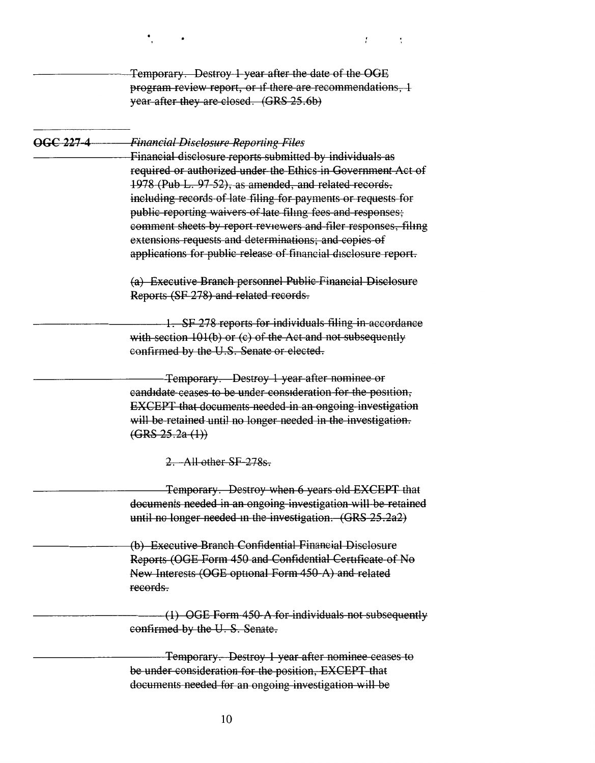**OGC 227 4**  Temporary. Destroy 1 year after the date of the OGE program review report, or if there are recommendations, 1 year after they are closed. (GRS 25.6b) *Financial Disclosure Reporting Files*  Financial disclosure reports submitted by individuals as required or authorized under the Ethics in Government Act of 1978 (Pub L. 97 52), as amended, and related records, including records of late filing for payments or requests for public reporting waivers of late filmg fees and responses; comment sheets by report reviewers and filer responses, filmg extensions requests and determinations; and copies of applications for public release of financial disclosure report. (a) Executive Branch personnel Public Financial Disclosure Reports (SF 278) and related records. 1. SF 278 reports for individuals filing in accordance with section 101(b) or (c) of the Act and not subsequently confirmed by the U.S. Senate or elected. Temporary. Destroy 1 year after nominee or candidate ceases to be under consideration for the position, EXCEPT that documents needed in an ongoing investigation will be retained until no longer needed in the investigation.  $(GRS 25.2a(1))$ 2. All other SF 278s. Temporary. Destroy when 6 years old EXCEPT that documents needed in an ongoing investigation will be retained until no longer needed in the investigation. (GRS 25.2a2) (b) Executive Branch Confidential Financial Disclosure Reports (OGE Form 450 and Confidential Certificate of No New Interests (OGE optional Form 450-A) and related records. (1) OGE Form 450 A. for individuals not subsequently confirmed by the U. S. Senate. Temporary. Destroy 1 year after nominee ceases to be under consideration for the position, EXCEPT that documents needed for an ongoing investigation will be

 $\mathbf{r}$ 

 $\cdot$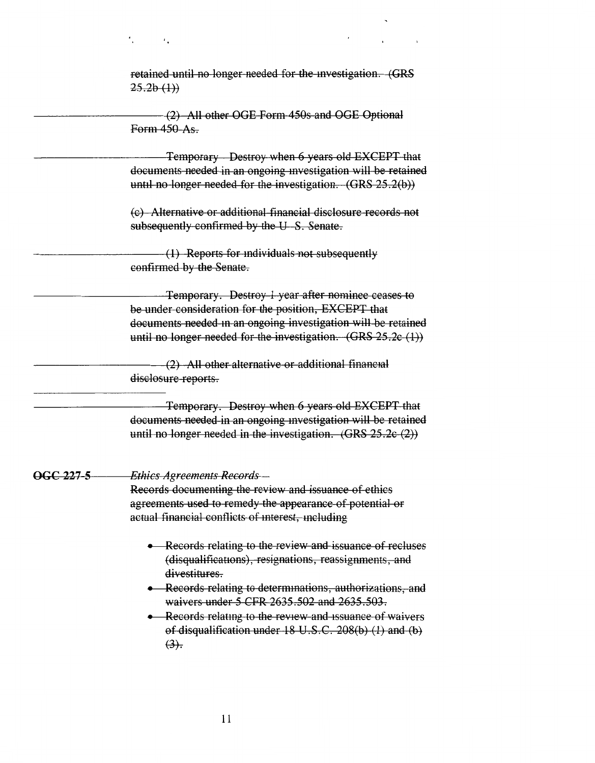retained until no longer needed for the mvestigation. (GRS  $25.2b(1)$ 

(2) All other OGE Form 450s and OGE Optional Form 450 As.

Temporary - Destroy when 6 years old EXCEPT that documents needed in an ongoing investigation will be retained until no longer needed for the investigation. **(GRS** 25.2(b))

(c) Alternative or additional financial disclosure records not subsequently confirmed by the U-S. Senate.

( 1) Reports for mdividuals not subsequently confirmed by the Senate.

Temporary. Destroy 1 year after nominee ceases to be under consideration for the position, EXCEPT that documents needed in an ongoing investigation will be retained until no longer needed for the investigation. (GRS 25.2c (1))

(2) All other alternative or additional financial disclosure reports.

Temporary. Destroy when 6 years old EXCEPT that documents needed in an ongoing mvestigation will be retained until no longer needed in the investigation.  $(GRS 25.2c(2))$ 

### **OGC 227 5**  *Ethics Agreements Records*

 $\epsilon$ .

Records documenting the review and issuance of ethics agreements used to remedy the appearance of potential or actual financial conflicts of mterest, mcluding

- Records relating to the review and issuance of recluses (disqualifications), resignations, reassignments, and divestitures.
- Records relating to determmations, authorizations, and waivers under 5 CFR 2635.502 and 2635.503.
- Records relating to the review and issuance of waivers of disqualification under 18 U.S.C. 208(b) (1) and (b)  $(3)$ .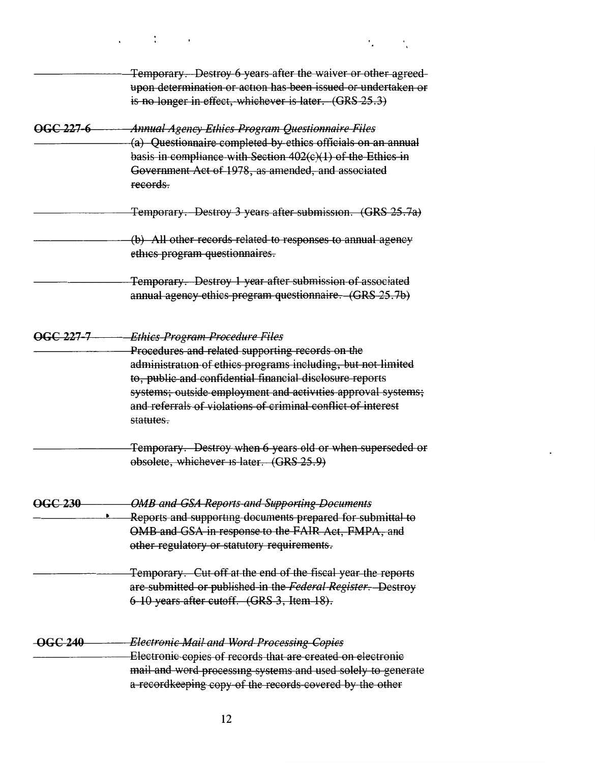|                | Temporary. Destroy 6 years after the waiver or other agreed-<br>upon determination or action has been issued or undertaken or<br>is no longer in effect, whichever is later. (GRS 25.3)                                                                                                                                                                     |
|----------------|-------------------------------------------------------------------------------------------------------------------------------------------------------------------------------------------------------------------------------------------------------------------------------------------------------------------------------------------------------------|
| OGC 227-6      | <b>Annual Agency Ethics Program Questionnaire Files</b><br>(a) Questionnaire completed by ethics officials on an annual<br>basis in compliance with Section $402(c)(1)$ of the Ethics in<br>Government Act of 1978, as amended, and associated                                                                                                              |
|                | records.<br>Temporary. Destroy 3 years after submission. (GRS 25.7a)                                                                                                                                                                                                                                                                                        |
|                | (b) All other records related to responses to annual agency<br>ethics program questionnaires.                                                                                                                                                                                                                                                               |
|                | Temporary. Destroy 1 year after submission of associated<br>annual agency ethics program questionnaire. (GRS 25.7b)                                                                                                                                                                                                                                         |
| OGC 227-7      | Ethics-Program-Procedure-Files<br>Procedures and related supporting records on the<br>administration of ethics programs including, but not limited<br>to, public and confidential financial disclosure reports<br>systems; outside employment and activities approval systems;<br>and referrals of violations of criminal conflict of interest<br>statutes. |
|                | Temporary. Destroy when 6 years old or when superseded or<br>obsolete, whichever is later. (GRS 25.9)                                                                                                                                                                                                                                                       |
| <b>OGC 230</b> | <b>OMB and GSA Reports and Supporting Documents</b><br>Reports and supporting documents prepared for submittal to<br>OMB and GSA in response to the FAIR Act, FMPA, and<br>other regulatory or statutory requirements.                                                                                                                                      |
|                | Temporary. Cut off at the end of the fiscal year the reports<br>are submitted or published in the Federal Register. Destroy<br>6-10 years after cutoff. (GRS 3, Item 18).                                                                                                                                                                                   |
| <b>OGC 240</b> | <b>Electronic Mail and Word Processing Copies</b><br>Electronic copies of records that are created on electronic<br>mail and word processing systems and used solely to generate<br>a-recordkeeping copy of the records covered by the other                                                                                                                |

٠.

 $\ddot{\phantom{a}}$ 

 $\ddot{\phantom{a}}$